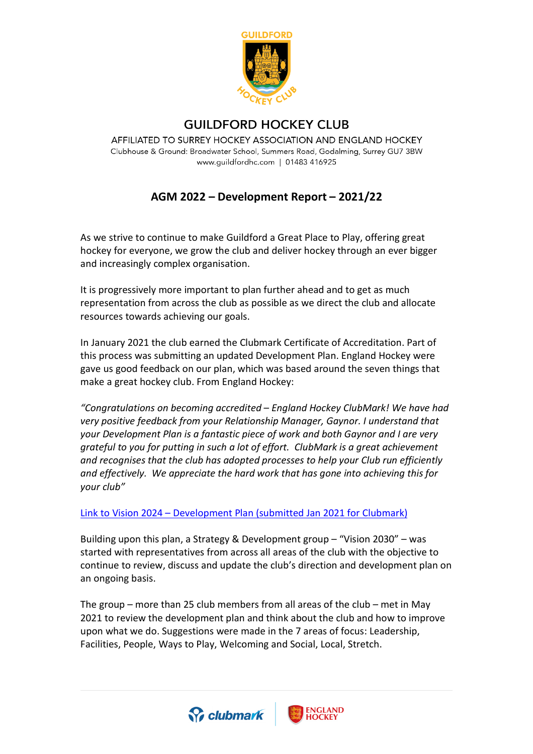

## **GUILDFORD HOCKEY CLUB**

AFFILIATED TO SURREY HOCKEY ASSOCIATION AND ENGLAND HOCKEY Clubhouse & Ground: Broadwater School, Summers Road, Godalming, Surrey GU7 3BW www.guildfordhc.com | 01483 416925

## **AGM 2022 – Development Report – 2021/22**

As we strive to continue to make Guildford a Great Place to Play, offering great hockey for everyone, we grow the club and deliver hockey through an ever bigger and increasingly complex organisation.

It is progressively more important to plan further ahead and to get as much representation from across the club as possible as we direct the club and allocate resources towards achieving our goals.

In January 2021 the club earned the Clubmark Certificate of Accreditation. Part of this process was submitting an updated Development Plan. England Hockey were gave us good feedback on our plan, which was based around the seven things that make a great hockey club. From England Hockey:

*"Congratulations on becoming accredited – England Hockey ClubMark! We have had very positive feedback from your Relationship Manager, Gaynor. I understand that your Development Plan is a fantastic piece of work and both Gaynor and I are very grateful to you for putting in such a lot of effort. ClubMark is a great achievement and recognises that the club has adopted processes to help your Club run efficiently and effectively. We appreciate the hard work that has gone into achieving this for your club"*

## Link to Vision 2024 – [Development Plan \(submitted Jan 2021 for Clubmark\)](https://www.guildfordhc.com/res/GHC-Vision2024-DevelopmentPlan-2020Jan.pdf)

Building upon this plan, a Strategy & Development group – "Vision 2030" – was started with representatives from across all areas of the club with the objective to continue to review, discuss and update the club's direction and development plan on an ongoing basis.

The group – more than 25 club members from all areas of the club – met in May 2021 to review the development plan and think about the club and how to improve upon what we do. Suggestions were made in the 7 areas of focus: Leadership, Facilities, People, Ways to Play, Welcoming and Social, Local, Stretch.